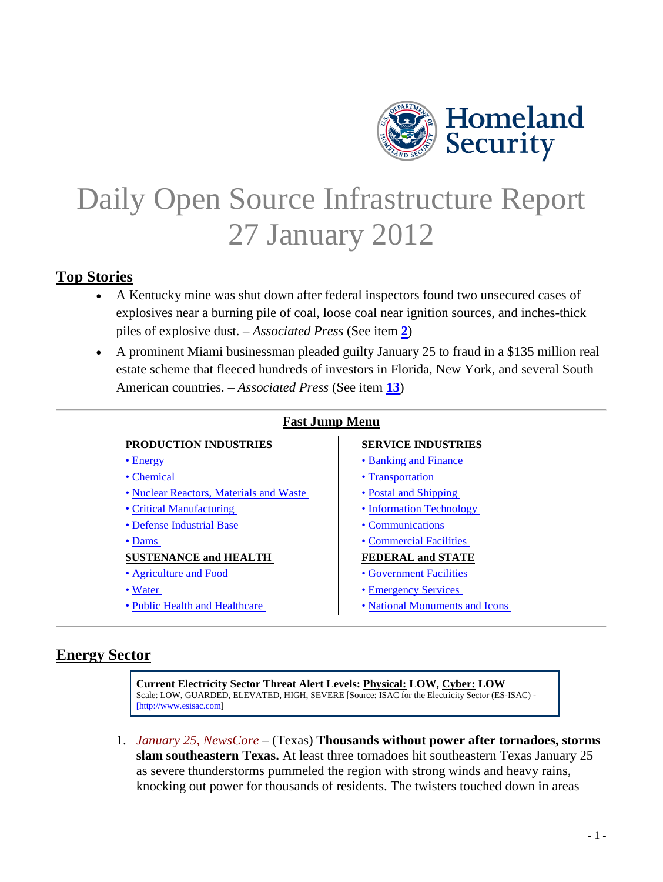

# <span id="page-0-1"></span>Daily Open Source Infrastructure Report 27 January 2012

# **Top Stories**

- A Kentucky mine was shut down after federal inspectors found two unsecured cases of explosives near a burning pile of coal, loose coal near ignition sources, and inches-thick piles of explosive dust. – *Associated Press* (See item **[2](#page-1-0)**)
- A prominent Miami businessman pleaded guilty January 25 to fraud in a \$135 million real estate scheme that fleeced hundreds of investors in Florida, New York, and several South American countries. – *Associated Press* (See item **[13](#page-6-0)**)

|  | <b>Fast Jump Menu</b> |
|--|-----------------------|
|  |                       |

#### **PRODUCTION INDUSTRIES SERVICE INDUSTRIES**

- 
- 
- • [Nuclear Reactors, Materials and Waste](#page-3-0)  Postal and Shipping
- 
- • [Defense Industrial Base](#page-4-2)  Communications
- 

#### **SUSTENANCE and HEALTH FEDERAL and STATE**

- 
- 
- 

- • [Energy](#page-0-0)  Banking and Finance
- • [Chemical](#page-2-0)  Transportation
	-
- • [Critical Manufacturing](#page-4-1)  Information Technology
	-
- • [Dams](#page-18-0)  Commercial Facilities

- • [Agriculture and Food](#page-8-1)  **Government Facilities**
- • [Water](#page-9-0)  Emergency Services
- • [Public Health and Healthcare](#page-10-1)  National Monuments and Icons

# <span id="page-0-0"></span>**Energy Sector**

**Current Electricity Sector Threat Alert Levels: Physical: LOW, Cyber: LOW** Scale: LOW, GUARDED, ELEVATED, HIGH, SEVERE [Source: ISAC for the Electricity Sector (ES-ISAC) - [\[http://www.esisac.com\]](http://www.esisac.com/)

1. *January 25, NewsCore* – (Texas) **Thousands without power after tornadoes, storms slam southeastern Texas.** At least three tornadoes hit southeastern Texas January 25 as severe thunderstorms pummeled the region with strong winds and heavy rains, knocking out power for thousands of residents. The twisters touched down in areas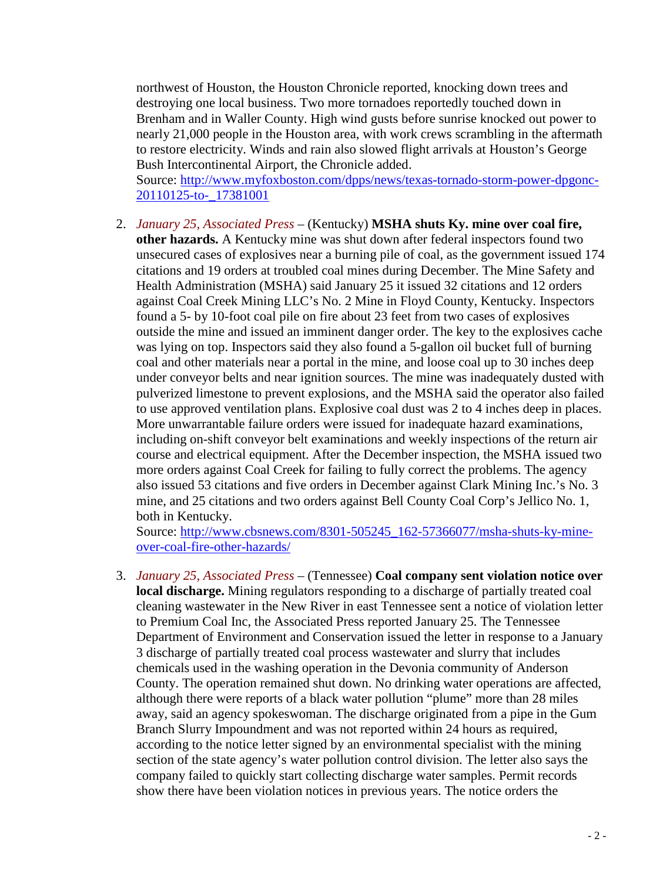northwest of Houston, the Houston Chronicle reported, knocking down trees and destroying one local business. Two more tornadoes reportedly touched down in Brenham and in Waller County. High wind gusts before sunrise knocked out power to nearly 21,000 people in the Houston area, with work crews scrambling in the aftermath to restore electricity. Winds and rain also slowed flight arrivals at Houston's George Bush Intercontinental Airport, the Chronicle added.

Source: [http://www.myfoxboston.com/dpps/news/texas-tornado-storm-power-dpgonc-](http://www.myfoxboston.com/dpps/news/texas-tornado-storm-power-dpgonc-20110125-to-_17381001)[20110125-to-\\_17381001](http://www.myfoxboston.com/dpps/news/texas-tornado-storm-power-dpgonc-20110125-to-_17381001)

<span id="page-1-0"></span>2. *January 25, Associated Press* – (Kentucky) **MSHA shuts Ky. mine over coal fire, other hazards.** A Kentucky mine was shut down after federal inspectors found two unsecured cases of explosives near a burning pile of coal, as the government issued 174 citations and 19 orders at troubled coal mines during December. The Mine Safety and Health Administration (MSHA) said January 25 it issued 32 citations and 12 orders against Coal Creek Mining LLC's No. 2 Mine in Floyd County, Kentucky. Inspectors found a 5- by 10-foot coal pile on fire about 23 feet from two cases of explosives outside the mine and issued an imminent danger order. The key to the explosives cache was lying on top. Inspectors said they also found a 5-gallon oil bucket full of burning coal and other materials near a portal in the mine, and loose coal up to 30 inches deep under conveyor belts and near ignition sources. The mine was inadequately dusted with pulverized limestone to prevent explosions, and the MSHA said the operator also failed to use approved ventilation plans. Explosive coal dust was 2 to 4 inches deep in places. More unwarrantable failure orders were issued for inadequate hazard examinations, including on-shift conveyor belt examinations and weekly inspections of the return air course and electrical equipment. After the December inspection, the MSHA issued two more orders against Coal Creek for failing to fully correct the problems. The agency also issued 53 citations and five orders in December against Clark Mining Inc.'s No. 3 mine, and 25 citations and two orders against Bell County Coal Corp's Jellico No. 1, both in Kentucky.

Source: [http://www.cbsnews.com/8301-505245\\_162-57366077/msha-shuts-ky-mine](http://www.cbsnews.com/8301-505245_162-57366077/msha-shuts-ky-mine-over-coal-fire-other-hazards/)[over-coal-fire-other-hazards/](http://www.cbsnews.com/8301-505245_162-57366077/msha-shuts-ky-mine-over-coal-fire-other-hazards/)

<span id="page-1-1"></span>3. *January 25, Associated Press* – (Tennessee) **Coal company sent violation notice over local discharge.** Mining regulators responding to a discharge of partially treated coal cleaning wastewater in the New River in east Tennessee sent a notice of violation letter to Premium Coal Inc, the Associated Press reported January 25. The Tennessee Department of Environment and Conservation issued the letter in response to a January 3 discharge of partially treated coal process wastewater and slurry that includes chemicals used in the washing operation in the Devonia community of Anderson County. The operation remained shut down. No drinking water operations are affected, although there were reports of a black water pollution "plume" more than 28 miles away, said an agency spokeswoman. The discharge originated from a pipe in the Gum Branch Slurry Impoundment and was not reported within 24 hours as required, according to the notice letter signed by an environmental specialist with the mining section of the state agency's water pollution control division. The letter also says the company failed to quickly start collecting discharge water samples. Permit records show there have been violation notices in previous years. The notice orders the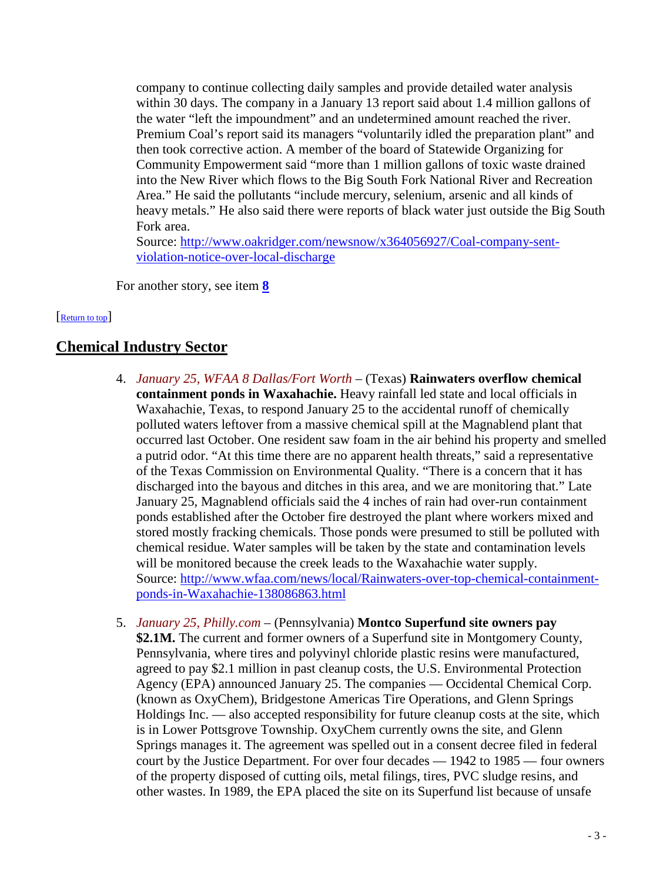company to continue collecting daily samples and provide detailed water analysis within 30 days. The company in a January 13 report said about 1.4 million gallons of the water "left the impoundment" and an undetermined amount reached the river. Premium Coal's report said its managers "voluntarily idled the preparation plant" and then took corrective action. A member of the board of Statewide Organizing for Community Empowerment said "more than 1 million gallons of toxic waste drained into the New River which flows to the Big South Fork National River and Recreation Area." He said the pollutants "include mercury, selenium, arsenic and all kinds of heavy metals." He also said there were reports of black water just outside the Big South Fork area.

Source: [http://www.oakridger.com/newsnow/x364056927/Coal-company-sent](http://www.oakridger.com/newsnow/x364056927/Coal-company-sent-violation-notice-over-local-discharge)[violation-notice-over-local-discharge](http://www.oakridger.com/newsnow/x364056927/Coal-company-sent-violation-notice-over-local-discharge)

<span id="page-2-0"></span>For another story, see item **[8](#page-4-3)**

#### [\[Return to top\]](#page-0-1)

# <span id="page-2-1"></span>**Chemical Industry Sector**

- 4. *January 25, WFAA 8 Dallas/Fort Worth* (Texas) **Rainwaters overflow chemical containment ponds in Waxahachie.** Heavy rainfall led state and local officials in Waxahachie, Texas, to respond January 25 to the accidental runoff of chemically polluted waters leftover from a massive chemical spill at the Magnablend plant that occurred last October. One resident saw foam in the air behind his property and smelled a putrid odor. "At this time there are no apparent health threats," said a representative of the Texas Commission on Environmental Quality. "There is a concern that it has discharged into the bayous and ditches in this area, and we are monitoring that." Late January 25, Magnablend officials said the 4 inches of rain had over-run containment ponds established after the October fire destroyed the plant where workers mixed and stored mostly fracking chemicals. Those ponds were presumed to still be polluted with chemical residue. Water samples will be taken by the state and contamination levels will be monitored because the creek leads to the Waxahachie water supply. Source: [http://www.wfaa.com/news/local/Rainwaters-over-top-chemical-containment](http://www.wfaa.com/news/local/Rainwaters-over-top-chemical-containment-ponds-in-Waxahachie-138086863.html)[ponds-in-Waxahachie-138086863.html](http://www.wfaa.com/news/local/Rainwaters-over-top-chemical-containment-ponds-in-Waxahachie-138086863.html)
- <span id="page-2-2"></span>5. *January 25, Philly.com* – (Pennsylvania) **Montco Superfund site owners pay \$2.1M.** The current and former owners of a Superfund site in Montgomery County, Pennsylvania, where tires and polyvinyl chloride plastic resins were manufactured, agreed to pay \$2.1 million in past cleanup costs, the U.S. Environmental Protection Agency (EPA) announced January 25. The companies — Occidental Chemical Corp. (known as OxyChem), Bridgestone Americas Tire Operations, and Glenn Springs Holdings Inc. — also accepted responsibility for future cleanup costs at the site, which is in Lower Pottsgrove Township. OxyChem currently owns the site, and Glenn Springs manages it. The agreement was spelled out in a consent decree filed in federal court by the Justice Department. For over four decades — 1942 to 1985 — four owners of the property disposed of cutting oils, metal filings, tires, PVC sludge resins, and other wastes. In 1989, the EPA placed the site on its Superfund list because of unsafe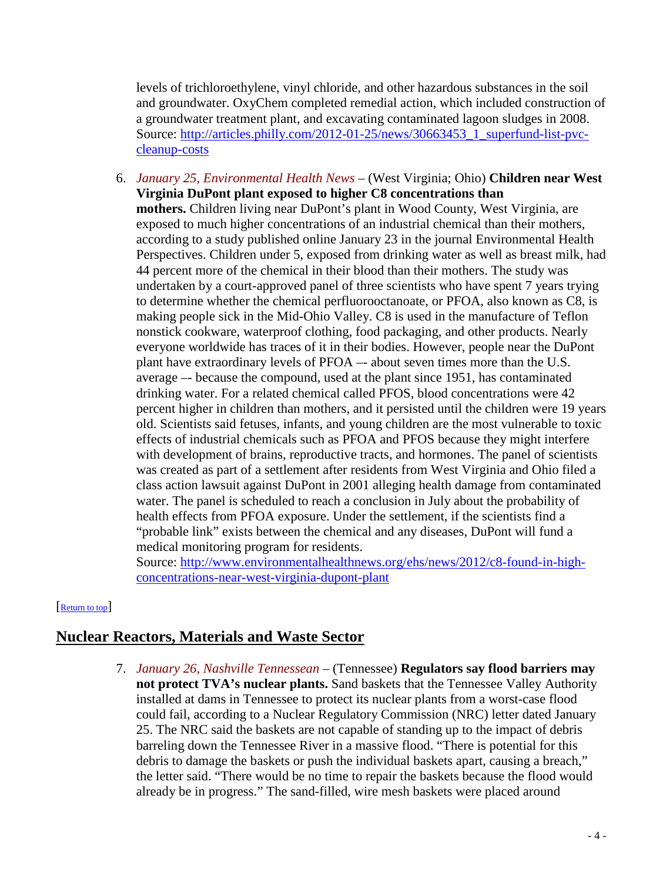levels of trichloroethylene, vinyl chloride, and other hazardous substances in the soil and groundwater. OxyChem completed remedial action, which included construction of a groundwater treatment plant, and excavating contaminated lagoon sludges in 2008. Source: [http://articles.philly.com/2012-01-25/news/30663453\\_1\\_superfund-list-pvc](http://articles.philly.com/2012-01-25/news/30663453_1_superfund-list-pvc-cleanup-costs)[cleanup-costs](http://articles.philly.com/2012-01-25/news/30663453_1_superfund-list-pvc-cleanup-costs)

<span id="page-3-1"></span>6. *January 25, Environmental Health News* – (West Virginia; Ohio) **Children near West Virginia DuPont plant exposed to higher C8 concentrations than mothers.** Children living near DuPont's plant in Wood County, West Virginia, are exposed to much higher concentrations of an industrial chemical than their mothers, according to a study published online January 23 in the journal Environmental Health Perspectives. Children under 5, exposed from drinking water as well as breast milk, had 44 percent more of the chemical in their blood than their mothers. The study was undertaken by a court-approved panel of three scientists who have spent 7 years trying to determine whether the chemical perfluorooctanoate, or PFOA, also known as C8, is making people sick in the Mid-Ohio Valley. C8 is used in the manufacture of Teflon nonstick cookware, waterproof clothing, food packaging, and other products. Nearly everyone worldwide has traces of it in their bodies. However, people near the DuPont plant have extraordinary levels of PFOA –- about seven times more than the U.S. average –- because the compound, used at the plant since 1951, has contaminated drinking water. For a related chemical called PFOS, blood concentrations were 42 percent higher in children than mothers, and it persisted until the children were 19 years old. Scientists said fetuses, infants, and young children are the most vulnerable to toxic effects of industrial chemicals such as PFOA and PFOS because they might interfere with development of brains, reproductive tracts, and hormones. The panel of scientists was created as part of a settlement after residents from West Virginia and Ohio filed a class action lawsuit against DuPont in 2001 alleging health damage from contaminated water. The panel is scheduled to reach a conclusion in July about the probability of health effects from PFOA exposure. Under the settlement, if the scientists find a "probable link" exists between the chemical and any diseases, DuPont will fund a medical monitoring program for residents.

<span id="page-3-0"></span>Source: [http://www.environmentalhealthnews.org/ehs/news/2012/c8-found-in-high](http://www.environmentalhealthnews.org/ehs/news/2012/c8-found-in-high-concentrations-near-west-virginia-dupont-plant)[concentrations-near-west-virginia-dupont-plant](http://www.environmentalhealthnews.org/ehs/news/2012/c8-found-in-high-concentrations-near-west-virginia-dupont-plant)

### [\[Return to top\]](#page-0-1)

# <span id="page-3-2"></span>**Nuclear Reactors, Materials and Waste Sector**

7. *January 26, Nashville Tennessean* – (Tennessee) **Regulators say flood barriers may not protect TVA's nuclear plants.** Sand baskets that the Tennessee Valley Authority installed at dams in Tennessee to protect its nuclear plants from a worst-case flood could fail, according to a Nuclear Regulatory Commission (NRC) letter dated January 25. The NRC said the baskets are not capable of standing up to the impact of debris barreling down the Tennessee River in a massive flood. "There is potential for this debris to damage the baskets or push the individual baskets apart, causing a breach," the letter said. "There would be no time to repair the baskets because the flood would already be in progress." The sand-filled, wire mesh baskets were placed around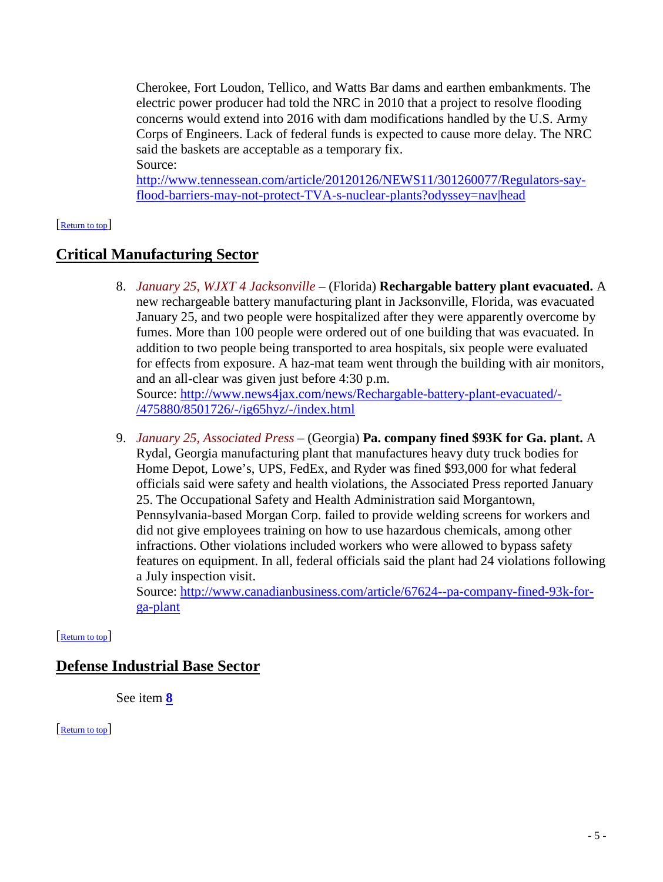Cherokee, Fort Loudon, Tellico, and Watts Bar dams and earthen embankments. The electric power producer had told the NRC in 2010 that a project to resolve flooding concerns would extend into 2016 with dam modifications handled by the U.S. Army Corps of Engineers. Lack of federal funds is expected to cause more delay. The NRC said the baskets are acceptable as a temporary fix. Source:

<span id="page-4-1"></span>[http://www.tennessean.com/article/20120126/NEWS11/301260077/Regulators-say](http://www.tennessean.com/article/20120126/NEWS11/301260077/Regulators-say-flood-barriers-may-not-protect-TVA-s-nuclear-plants?odyssey=nav|head)[flood-barriers-may-not-protect-TVA-s-nuclear-plants?odyssey=nav|head](http://www.tennessean.com/article/20120126/NEWS11/301260077/Regulators-say-flood-barriers-may-not-protect-TVA-s-nuclear-plants?odyssey=nav|head)

#### [\[Return to top\]](#page-0-1)

# <span id="page-4-3"></span>**Critical Manufacturing Sector**

8. *January 25, WJXT 4 Jacksonville* – (Florida) **Rechargable battery plant evacuated.** A new rechargeable battery manufacturing plant in Jacksonville, Florida, was evacuated January 25, and two people were hospitalized after they were apparently overcome by fumes. More than 100 people were ordered out of one building that was evacuated. In addition to two people being transported to area hospitals, six people were evaluated for effects from exposure. A haz-mat team went through the building with air monitors, and an all-clear was given just before 4:30 p.m. Source: [http://www.news4jax.com/news/Rechargable-battery-plant-evacuated/-](http://www.news4jax.com/news/Rechargable-battery-plant-evacuated/-/475880/8501726/-/ig65hyz/-/index.html)

[/475880/8501726/-/ig65hyz/-/index.html](http://www.news4jax.com/news/Rechargable-battery-plant-evacuated/-/475880/8501726/-/ig65hyz/-/index.html)

9. *January 25, Associated Press* – (Georgia) **Pa. company fined \$93K for Ga. plant.** A Rydal, Georgia manufacturing plant that manufactures heavy duty truck bodies for Home Depot, Lowe's, UPS, FedEx, and Ryder was fined \$93,000 for what federal officials said were safety and health violations, the Associated Press reported January 25. The Occupational Safety and Health Administration said Morgantown, Pennsylvania-based Morgan Corp. failed to provide welding screens for workers and did not give employees training on how to use hazardous chemicals, among other infractions. Other violations included workers who were allowed to bypass safety features on equipment. In all, federal officials said the plant had 24 violations following a July inspection visit.

<span id="page-4-2"></span>Source: [http://www.canadianbusiness.com/article/67624--pa-company-fined-93k-for](http://www.canadianbusiness.com/article/67624--pa-company-fined-93k-for-ga-plant)[ga-plant](http://www.canadianbusiness.com/article/67624--pa-company-fined-93k-for-ga-plant)

### [\[Return to top\]](#page-0-1)

# **Defense Industrial Base Sector**

<span id="page-4-0"></span>See item **[8](#page-4-3)**

[\[Return to top\]](#page-0-1)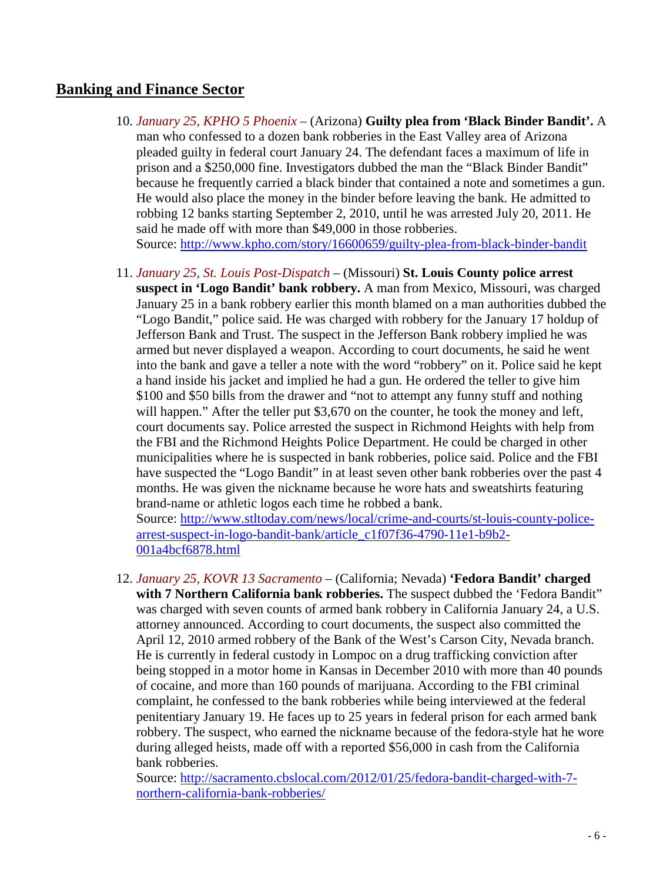# **Banking and Finance Sector**

- 10. *January 25, KPHO 5 Phoenix* (Arizona) **Guilty plea from 'Black Binder Bandit'.** A man who confessed to a dozen bank robberies in the East Valley area of Arizona pleaded guilty in federal court January 24. The defendant faces a maximum of life in prison and a \$250,000 fine. Investigators dubbed the man the "Black Binder Bandit" because he frequently carried a black binder that contained a note and sometimes a gun. He would also place the money in the binder before leaving the bank. He admitted to robbing 12 banks starting September 2, 2010, until he was arrested July 20, 2011. He said he made off with more than \$49,000 in those robberies. Source:<http://www.kpho.com/story/16600659/guilty-plea-from-black-binder-bandit>
- 11. *January 25, St. Louis Post-Dispatch* (Missouri) **St. Louis County police arrest suspect in 'Logo Bandit' bank robbery.** A man from Mexico, Missouri, was charged January 25 in a bank robbery earlier this month blamed on a man authorities dubbed the "Logo Bandit," police said. He was charged with robbery for the January 17 holdup of Jefferson Bank and Trust. The suspect in the Jefferson Bank robbery implied he was armed but never displayed a weapon. According to court documents, he said he went into the bank and gave a teller a note with the word "robbery" on it. Police said he kept a hand inside his jacket and implied he had a gun. He ordered the teller to give him \$100 and \$50 bills from the drawer and "not to attempt any funny stuff and nothing will happen." After the teller put \$3,670 on the counter, he took the money and left, court documents say. Police arrested the suspect in Richmond Heights with help from the FBI and the Richmond Heights Police Department. He could be charged in other municipalities where he is suspected in bank robberies, police said. Police and the FBI have suspected the "Logo Bandit" in at least seven other bank robberies over the past 4 months. He was given the nickname because he wore hats and sweatshirts featuring brand-name or athletic logos each time he robbed a bank.

Source: [http://www.stltoday.com/news/local/crime-and-courts/st-louis-county-police](http://www.stltoday.com/news/local/crime-and-courts/st-louis-county-police-arrest-suspect-in-logo-bandit-bank/article_c1f07f36-4790-11e1-b9b2-001a4bcf6878.html)[arrest-suspect-in-logo-bandit-bank/article\\_c1f07f36-4790-11e1-b9b2-](http://www.stltoday.com/news/local/crime-and-courts/st-louis-county-police-arrest-suspect-in-logo-bandit-bank/article_c1f07f36-4790-11e1-b9b2-001a4bcf6878.html) [001a4bcf6878.html](http://www.stltoday.com/news/local/crime-and-courts/st-louis-county-police-arrest-suspect-in-logo-bandit-bank/article_c1f07f36-4790-11e1-b9b2-001a4bcf6878.html)

12. *January 25, KOVR 13 Sacramento* – (California; Nevada) **'Fedora Bandit' charged with 7 Northern California bank robberies.** The suspect dubbed the 'Fedora Bandit" was charged with seven counts of armed bank robbery in California January 24, a U.S. attorney announced. According to court documents, the suspect also committed the April 12, 2010 armed robbery of the Bank of the West's Carson City, Nevada branch. He is currently in federal custody in Lompoc on a drug trafficking conviction after being stopped in a motor home in Kansas in December 2010 with more than 40 pounds of cocaine, and more than 160 pounds of marijuana. According to the FBI criminal complaint, he confessed to the bank robberies while being interviewed at the federal penitentiary January 19. He faces up to 25 years in federal prison for each armed bank robbery. The suspect, who earned the nickname because of the fedora-style hat he wore during alleged heists, made off with a reported \$56,000 in cash from the California bank robberies.

Source: [http://sacramento.cbslocal.com/2012/01/25/fedora-bandit-charged-with-7](http://sacramento.cbslocal.com/2012/01/25/fedora-bandit-charged-with-7-northern-california-bank-robberies/) [northern-california-bank-robberies/](http://sacramento.cbslocal.com/2012/01/25/fedora-bandit-charged-with-7-northern-california-bank-robberies/)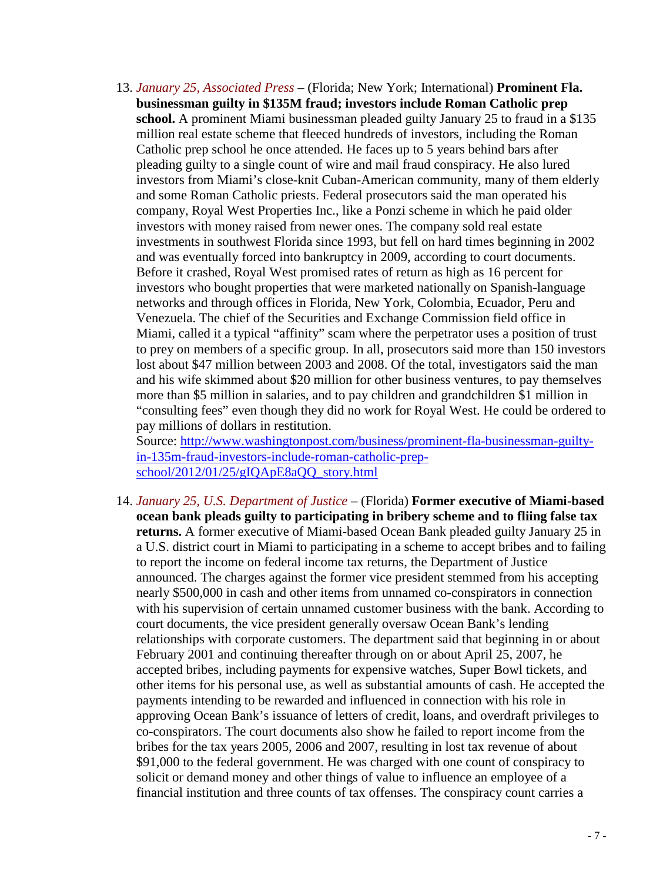<span id="page-6-0"></span>13. *January 25, Associated Press* – (Florida; New York; International) **Prominent Fla. businessman guilty in \$135M fraud; investors include Roman Catholic prep school.** A prominent Miami businessman pleaded guilty January 25 to fraud in a \$135 million real estate scheme that fleeced hundreds of investors, including the Roman Catholic prep school he once attended. He faces up to 5 years behind bars after pleading guilty to a single count of wire and mail fraud conspiracy. He also lured investors from Miami's close-knit Cuban-American community, many of them elderly and some Roman Catholic priests. Federal prosecutors said the man operated his company, Royal West Properties Inc., like a Ponzi scheme in which he paid older investors with money raised from newer ones. The company sold real estate investments in southwest Florida since 1993, but fell on hard times beginning in 2002 and was eventually forced into bankruptcy in 2009, according to court documents. Before it crashed, Royal West promised rates of return as high as 16 percent for investors who bought properties that were marketed nationally on Spanish-language networks and through offices in Florida, New York, Colombia, Ecuador, Peru and Venezuela. The chief of the Securities and Exchange Commission field office in Miami, called it a typical "affinity" scam where the perpetrator uses a position of trust to prey on members of a specific group. In all, prosecutors said more than 150 investors lost about \$47 million between 2003 and 2008. Of the total, investigators said the man and his wife skimmed about \$20 million for other business ventures, to pay themselves more than \$5 million in salaries, and to pay children and grandchildren \$1 million in "consulting fees" even though they did no work for Royal West. He could be ordered to pay millions of dollars in restitution.

Source: [http://www.washingtonpost.com/business/prominent-fla-businessman-guilty](http://www.washingtonpost.com/business/prominent-fla-businessman-guilty-in-135m-fraud-investors-include-roman-catholic-prep-school/2012/01/25/gIQApE8aQQ_story.html)[in-135m-fraud-investors-include-roman-catholic-prep](http://www.washingtonpost.com/business/prominent-fla-businessman-guilty-in-135m-fraud-investors-include-roman-catholic-prep-school/2012/01/25/gIQApE8aQQ_story.html)[school/2012/01/25/gIQApE8aQQ\\_story.html](http://www.washingtonpost.com/business/prominent-fla-businessman-guilty-in-135m-fraud-investors-include-roman-catholic-prep-school/2012/01/25/gIQApE8aQQ_story.html)

14. *January 25, U.S. Department of Justice* – (Florida) **Former executive of Miami-based ocean bank pleads guilty to participating in bribery scheme and to fliing false tax returns.** A former executive of Miami-based Ocean Bank pleaded guilty January 25 in a U.S. district court in Miami to participating in a scheme to accept bribes and to failing to report the income on federal income tax returns, the Department of Justice announced. The charges against the former vice president stemmed from his accepting nearly \$500,000 in cash and other items from unnamed co-conspirators in connection with his supervision of certain unnamed customer business with the bank. According to court documents, the vice president generally oversaw Ocean Bank's lending relationships with corporate customers. The department said that beginning in or about February 2001 and continuing thereafter through on or about April 25, 2007, he accepted bribes, including payments for expensive watches, Super Bowl tickets, and other items for his personal use, as well as substantial amounts of cash. He accepted the payments intending to be rewarded and influenced in connection with his role in approving Ocean Bank's issuance of letters of credit, loans, and overdraft privileges to co-conspirators. The court documents also show he failed to report income from the bribes for the tax years 2005, 2006 and 2007, resulting in lost tax revenue of about \$91,000 to the federal government. He was charged with one count of conspiracy to solicit or demand money and other things of value to influence an employee of a financial institution and three counts of tax offenses. The conspiracy count carries a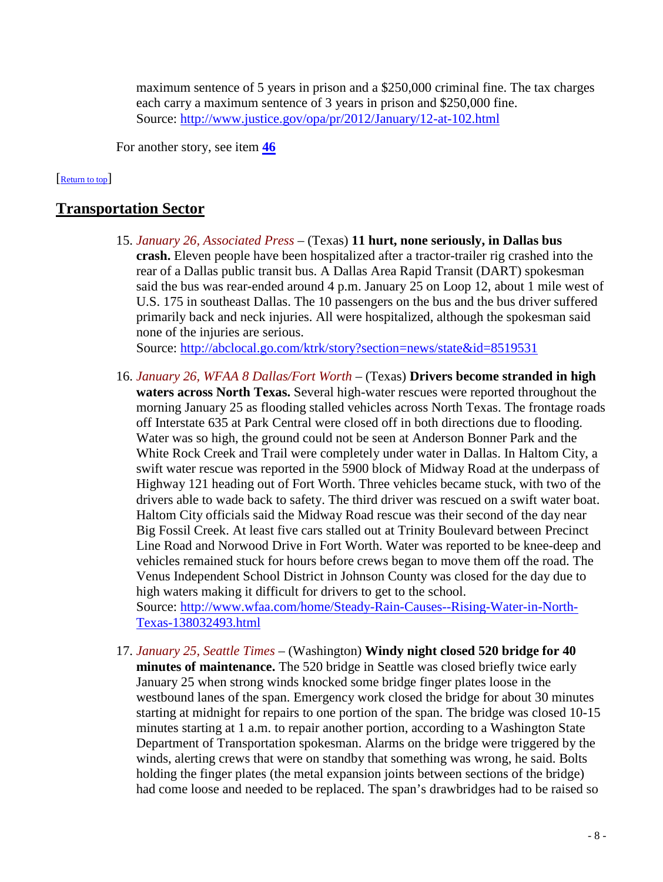maximum sentence of 5 years in prison and a \$250,000 criminal fine. The tax charges each carry a maximum sentence of 3 years in prison and \$250,000 fine. Source:<http://www.justice.gov/opa/pr/2012/January/12-at-102.html>

<span id="page-7-0"></span>For another story, see item **[46](#page-18-2)**

#### [\[Return to top\]](#page-0-1)

# **Transportation Sector**

15. *January 26, Associated Press* – (Texas) **11 hurt, none seriously, in Dallas bus crash.** Eleven people have been hospitalized after a tractor-trailer rig crashed into the rear of a Dallas public transit bus. A Dallas Area Rapid Transit (DART) spokesman said the bus was rear-ended around 4 p.m. January 25 on Loop 12, about 1 mile west of U.S. 175 in southeast Dallas. The 10 passengers on the bus and the bus driver suffered primarily back and neck injuries. All were hospitalized, although the spokesman said none of the injuries are serious.

Source:<http://abclocal.go.com/ktrk/story?section=news/state&id=8519531>

<span id="page-7-1"></span>16. *January 26, WFAA 8 Dallas/Fort Worth* – (Texas) **Drivers become stranded in high waters across North Texas.** Several high-water rescues were reported throughout the morning January 25 as flooding stalled vehicles across North Texas. The frontage roads off Interstate 635 at Park Central were closed off in both directions due to flooding. Water was so high, the ground could not be seen at Anderson Bonner Park and the White Rock Creek and Trail were completely under water in Dallas. In Haltom City, a swift water rescue was reported in the 5900 block of Midway Road at the underpass of Highway 121 heading out of Fort Worth. Three vehicles became stuck, with two of the drivers able to wade back to safety. The third driver was rescued on a swift water boat. Haltom City officials said the Midway Road rescue was their second of the day near Big Fossil Creek. At least five cars stalled out at Trinity Boulevard between Precinct Line Road and Norwood Drive in Fort Worth. Water was reported to be knee-deep and vehicles remained stuck for hours before crews began to move them off the road. The Venus Independent School District in Johnson County was closed for the day due to high waters making it difficult for drivers to get to the school. Source: [http://www.wfaa.com/home/Steady-Rain-Causes--Rising-Water-in-North-](http://www.wfaa.com/home/Steady-Rain-Causes--Rising-Water-in-North-Texas-138032493.html)

[Texas-138032493.html](http://www.wfaa.com/home/Steady-Rain-Causes--Rising-Water-in-North-Texas-138032493.html)

17. *January 25, Seattle Times* – (Washington) **Windy night closed 520 bridge for 40 minutes of maintenance.** The 520 bridge in Seattle was closed briefly twice early January 25 when strong winds knocked some bridge finger plates loose in the westbound lanes of the span. Emergency work closed the bridge for about 30 minutes starting at midnight for repairs to one portion of the span. The bridge was closed 10-15 minutes starting at 1 a.m. to repair another portion, according to a Washington State Department of Transportation spokesman. Alarms on the bridge were triggered by the winds, alerting crews that were on standby that something was wrong, he said. Bolts holding the finger plates (the metal expansion joints between sections of the bridge) had come loose and needed to be replaced. The span's drawbridges had to be raised so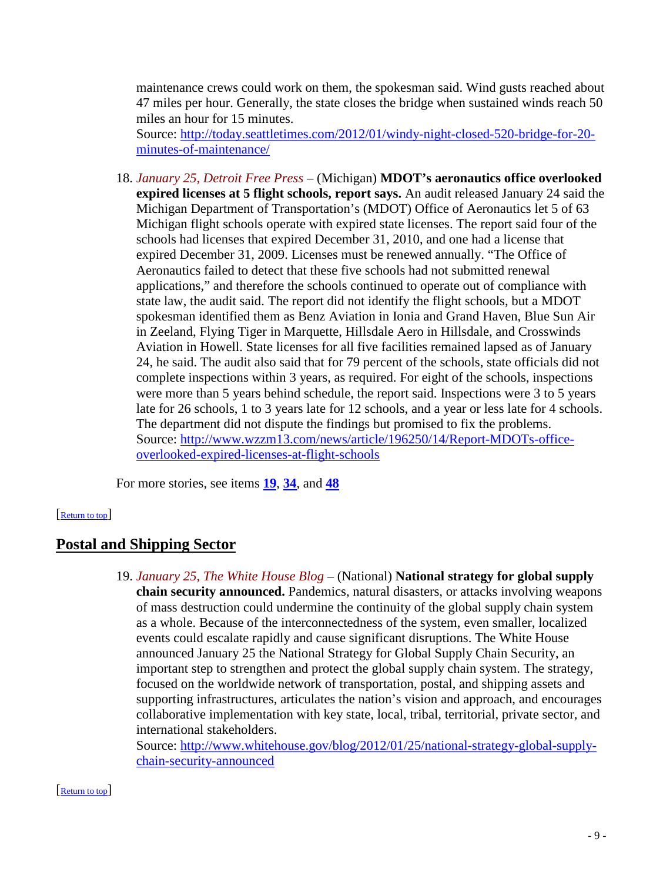maintenance crews could work on them, the spokesman said. Wind gusts reached about 47 miles per hour. Generally, the state closes the bridge when sustained winds reach 50 miles an hour for 15 minutes.

Source: [http://today.seattletimes.com/2012/01/windy-night-closed-520-bridge-for-20](http://today.seattletimes.com/2012/01/windy-night-closed-520-bridge-for-20-minutes-of-maintenance/) [minutes-of-maintenance/](http://today.seattletimes.com/2012/01/windy-night-closed-520-bridge-for-20-minutes-of-maintenance/)

18. *January 25, Detroit Free Press* – (Michigan) **MDOT's aeronautics office overlooked expired licenses at 5 flight schools, report says.** An audit released January 24 said the Michigan Department of Transportation's (MDOT) Office of Aeronautics let 5 of 63 Michigan flight schools operate with expired state licenses. The report said four of the schools had licenses that expired December 31, 2010, and one had a license that expired December 31, 2009. Licenses must be renewed annually. "The Office of Aeronautics failed to detect that these five schools had not submitted renewal applications," and therefore the schools continued to operate out of compliance with state law, the audit said. The report did not identify the flight schools, but a MDOT spokesman identified them as Benz Aviation in Ionia and Grand Haven, Blue Sun Air in Zeeland, Flying Tiger in Marquette, Hillsdale Aero in Hillsdale, and Crosswinds Aviation in Howell. State licenses for all five facilities remained lapsed as of January 24, he said. The audit also said that for 79 percent of the schools, state officials did not complete inspections within 3 years, as required. For eight of the schools, inspections were more than 5 years behind schedule, the report said. Inspections were 3 to 5 years late for 26 schools, 1 to 3 years late for 12 schools, and a year or less late for 4 schools. The department did not dispute the findings but promised to fix the problems. Source: [http://www.wzzm13.com/news/article/196250/14/Report-MDOTs-office](http://www.wzzm13.com/news/article/196250/14/Report-MDOTs-office-overlooked-expired-licenses-at-flight-schools)[overlooked-expired-licenses-at-flight-schools](http://www.wzzm13.com/news/article/196250/14/Report-MDOTs-office-overlooked-expired-licenses-at-flight-schools)

<span id="page-8-0"></span>For more stories, see items **[19](#page-8-2)**, **[34](#page-13-0)**, and **[48](#page-19-0)**

#### [\[Return to top\]](#page-0-1)

### <span id="page-8-2"></span>**Postal and Shipping Sector**

19. *January 25, The White House Blog* – (National) **National strategy for global supply chain security announced.** Pandemics, natural disasters, or attacks involving weapons of mass destruction could undermine the continuity of the global supply chain system as a whole. Because of the interconnectedness of the system, even smaller, localized events could escalate rapidly and cause significant disruptions. The White House announced January 25 the National Strategy for Global Supply Chain Security, an important step to strengthen and protect the global supply chain system. The strategy, focused on the worldwide network of transportation, postal, and shipping assets and supporting infrastructures, articulates the nation's vision and approach, and encourages collaborative implementation with key state, local, tribal, territorial, private sector, and international stakeholders.

<span id="page-8-1"></span>Source: [http://www.whitehouse.gov/blog/2012/01/25/national-strategy-global-supply](http://www.whitehouse.gov/blog/2012/01/25/national-strategy-global-supply-chain-security-announced)[chain-security-announced](http://www.whitehouse.gov/blog/2012/01/25/national-strategy-global-supply-chain-security-announced)

#### [\[Return to top\]](#page-0-1)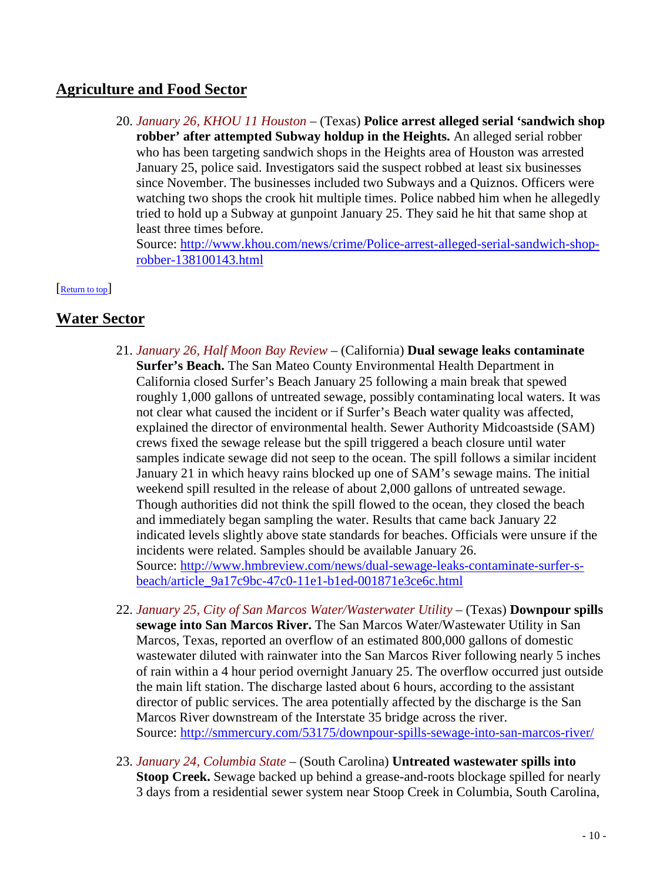# **Agriculture and Food Sector**

20. *January 26, KHOU 11 Houston* – (Texas) **Police arrest alleged serial 'sandwich shop robber' after attempted Subway holdup in the Heights.** An alleged serial robber who has been targeting sandwich shops in the Heights area of Houston was arrested January 25, police said. Investigators said the suspect robbed at least six businesses since November. The businesses included two Subways and a Quiznos. Officers were watching two shops the crook hit multiple times. Police nabbed him when he allegedly tried to hold up a Subway at gunpoint January 25. They said he hit that same shop at least three times before.

<span id="page-9-0"></span>Source: [http://www.khou.com/news/crime/Police-arrest-alleged-serial-sandwich-shop](http://www.khou.com/news/crime/Police-arrest-alleged-serial-sandwich-shop-robber-138100143.html)[robber-138100143.html](http://www.khou.com/news/crime/Police-arrest-alleged-serial-sandwich-shop-robber-138100143.html)

#### [\[Return to top\]](#page-0-1)

# <span id="page-9-1"></span>**Water Sector**

- 21. *January 26, Half Moon Bay Review* (California) **Dual sewage leaks contaminate Surfer's Beach.** The San Mateo County Environmental Health Department in California closed Surfer's Beach January 25 following a main break that spewed roughly 1,000 gallons of untreated sewage, possibly contaminating local waters. It was not clear what caused the incident or if Surfer's Beach water quality was affected, explained the director of environmental health. Sewer Authority Midcoastside (SAM) crews fixed the sewage release but the spill triggered a beach closure until water samples indicate sewage did not seep to the ocean. The spill follows a similar incident January 21 in which heavy rains blocked up one of SAM's sewage mains. The initial weekend spill resulted in the release of about 2,000 gallons of untreated sewage. Though authorities did not think the spill flowed to the ocean, they closed the beach and immediately began sampling the water. Results that came back January 22 indicated levels slightly above state standards for beaches. Officials were unsure if the incidents were related. Samples should be available January 26. Source: [http://www.hmbreview.com/news/dual-sewage-leaks-contaminate-surfer-s](http://www.hmbreview.com/news/dual-sewage-leaks-contaminate-surfer-s-beach/article_9a17c9bc-47c0-11e1-b1ed-001871e3ce6c.html)[beach/article\\_9a17c9bc-47c0-11e1-b1ed-001871e3ce6c.html](http://www.hmbreview.com/news/dual-sewage-leaks-contaminate-surfer-s-beach/article_9a17c9bc-47c0-11e1-b1ed-001871e3ce6c.html)
- 22. *January 25, City of San Marcos Water/Wasterwater Utility* (Texas) **Downpour spills sewage into San Marcos River.** The San Marcos Water/Wastewater Utility in San Marcos, Texas, reported an overflow of an estimated 800,000 gallons of domestic wastewater diluted with rainwater into the San Marcos River following nearly 5 inches of rain within a 4 hour period overnight January 25. The overflow occurred just outside the main lift station. The discharge lasted about 6 hours, according to the assistant director of public services. The area potentially affected by the discharge is the San Marcos River downstream of the Interstate 35 bridge across the river. Source:<http://smmercury.com/53175/downpour-spills-sewage-into-san-marcos-river/>
- 23. *January 24, Columbia State* (South Carolina) **Untreated wastewater spills into Stoop Creek.** Sewage backed up behind a grease-and-roots blockage spilled for nearly 3 days from a residential sewer system near Stoop Creek in Columbia, South Carolina,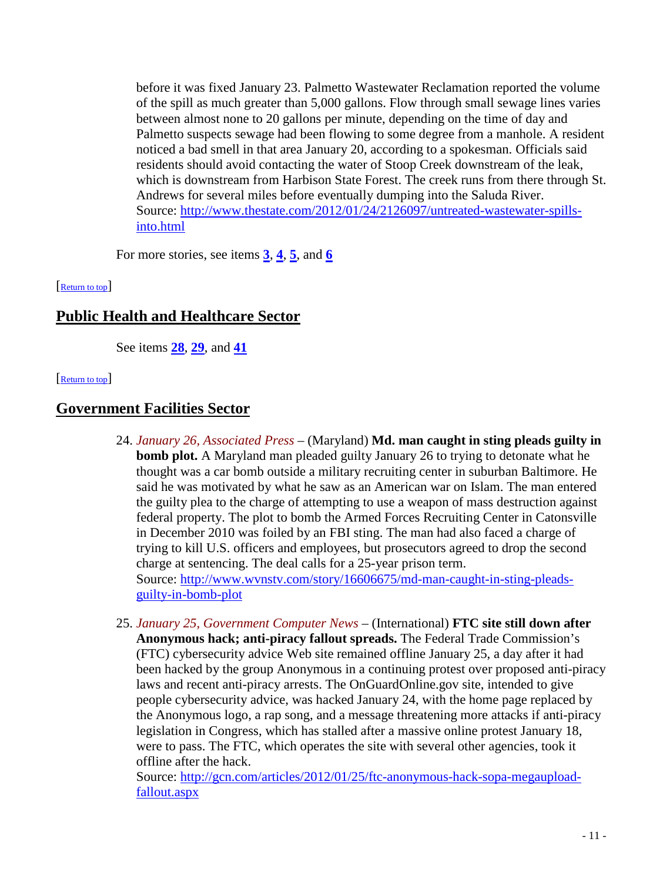before it was fixed January 23. Palmetto Wastewater Reclamation reported the volume of the spill as much greater than 5,000 gallons. Flow through small sewage lines varies between almost none to 20 gallons per minute, depending on the time of day and Palmetto suspects sewage had been flowing to some degree from a manhole. A resident noticed a bad smell in that area January 20, according to a spokesman. Officials said residents should avoid contacting the water of Stoop Creek downstream of the leak, which is downstream from Harbison State Forest. The creek runs from there through St. Andrews for several miles before eventually dumping into the Saluda River. Source: [http://www.thestate.com/2012/01/24/2126097/untreated-wastewater-spills](http://www.thestate.com/2012/01/24/2126097/untreated-wastewater-spills-into.html)[into.html](http://www.thestate.com/2012/01/24/2126097/untreated-wastewater-spills-into.html)

<span id="page-10-1"></span>For more stories, see items  $\frac{3}{2}$  $\frac{3}{2}$  $\frac{3}{2}$ ,  $\frac{4}{2}$  $\frac{4}{2}$  $\frac{4}{2}$ ,  $\frac{5}{2}$  $\frac{5}{2}$  $\frac{5}{2}$ , and  $\frac{6}{2}$  $\frac{6}{2}$  $\frac{6}{2}$ 

## [\[Return to top\]](#page-0-1)

# **Public Health and Healthcare Sector**

<span id="page-10-0"></span>See items **[28](#page-11-0)**, **[29](#page-11-1)**, and **[41](#page-16-1)**

#### [\[Return to top\]](#page-0-1)

# **Government Facilities Sector**

- 24. *January 26, Associated Press* (Maryland) **Md. man caught in sting pleads guilty in bomb plot.** A Maryland man pleaded guilty January 26 to trying to detonate what he thought was a car bomb outside a military recruiting center in suburban Baltimore. He said he was motivated by what he saw as an American war on Islam. The man entered the guilty plea to the charge of attempting to use a weapon of mass destruction against federal property. The plot to bomb the Armed Forces Recruiting Center in Catonsville in December 2010 was foiled by an FBI sting. The man had also faced a charge of trying to kill U.S. officers and employees, but prosecutors agreed to drop the second charge at sentencing. The deal calls for a 25-year prison term. Source: [http://www.wvnstv.com/story/16606675/md-man-caught-in-sting-pleads](http://www.wvnstv.com/story/16606675/md-man-caught-in-sting-pleads-guilty-in-bomb-plot)[guilty-in-bomb-plot](http://www.wvnstv.com/story/16606675/md-man-caught-in-sting-pleads-guilty-in-bomb-plot)
- <span id="page-10-2"></span>25. *January 25, Government Computer News* – (International) **FTC site still down after Anonymous hack; anti-piracy fallout spreads.** The Federal Trade Commission's (FTC) cybersecurity advice Web site remained offline January 25, a day after it had been hacked by the group Anonymous in a continuing protest over proposed anti-piracy laws and recent anti-piracy arrests. The OnGuardOnline.gov site, intended to give people cybersecurity advice, was hacked January 24, with the home page replaced by the Anonymous logo, a rap song, and a message threatening more attacks if anti-piracy legislation in Congress, which has stalled after a massive online protest January 18, were to pass. The FTC, which operates the site with several other agencies, took it offline after the hack.

Source: [http://gcn.com/articles/2012/01/25/ftc-anonymous-hack-sopa-megaupload](http://gcn.com/articles/2012/01/25/ftc-anonymous-hack-sopa-megaupload-fallout.aspx)[fallout.aspx](http://gcn.com/articles/2012/01/25/ftc-anonymous-hack-sopa-megaupload-fallout.aspx)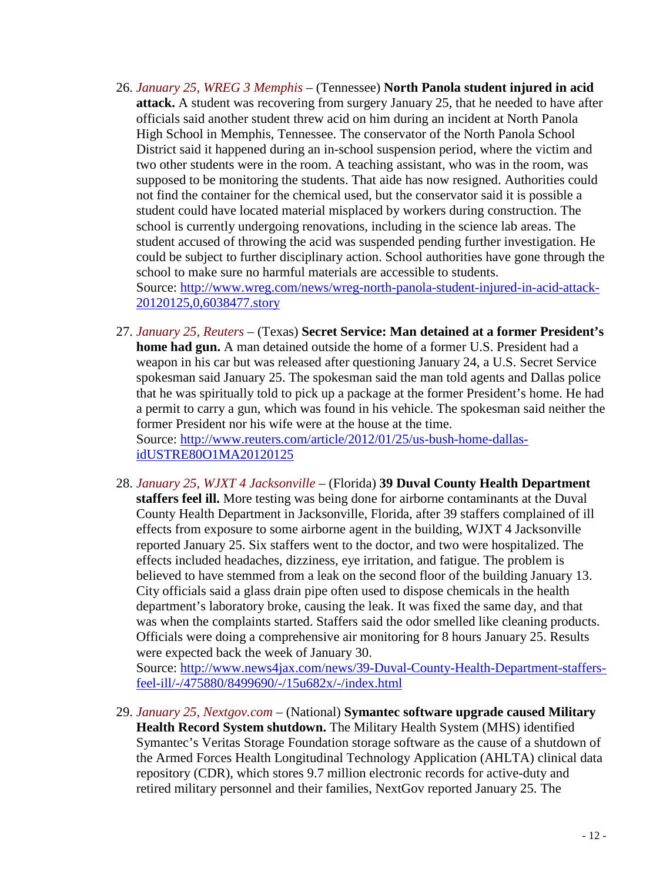- 26. *January 25, WREG 3 Memphis* (Tennessee) **North Panola student injured in acid attack.** A student was recovering from surgery January 25, that he needed to have after officials said another student threw acid on him during an incident at North Panola High School in Memphis, Tennessee. The conservator of the North Panola School District said it happened during an in-school suspension period, where the victim and two other students were in the room. A teaching assistant, who was in the room, was supposed to be monitoring the students. That aide has now resigned. Authorities could not find the container for the chemical used, but the conservator said it is possible a student could have located material misplaced by workers during construction. The school is currently undergoing renovations, including in the science lab areas. The student accused of throwing the acid was suspended pending further investigation. He could be subject to further disciplinary action. School authorities have gone through the school to make sure no harmful materials are accessible to students. Source: [http://www.wreg.com/news/wreg-north-panola-student-injured-in-acid-attack-](http://www.wreg.com/news/wreg-north-panola-student-injured-in-acid-attack-20120125,0,6038477.story)[20120125,0,6038477.story](http://www.wreg.com/news/wreg-north-panola-student-injured-in-acid-attack-20120125,0,6038477.story)
- 27. *January 25, Reuters* (Texas) **Secret Service: Man detained at a former President's home had gun.** A man detained outside the home of a former U.S. President had a weapon in his car but was released after questioning January 24, a U.S. Secret Service spokesman said January 25. The spokesman said the man told agents and Dallas police that he was spiritually told to pick up a package at the former President's home. He had a permit to carry a gun, which was found in his vehicle. The spokesman said neither the former President nor his wife were at the house at the time. Source: [http://www.reuters.com/article/2012/01/25/us-bush-home-dallas-](http://www.reuters.com/article/2012/01/25/us-bush-home-dallas-idUSTRE80O1MA20120125)

[idUSTRE80O1MA20120125](http://www.reuters.com/article/2012/01/25/us-bush-home-dallas-idUSTRE80O1MA20120125)

<span id="page-11-0"></span>28. *January 25, WJXT 4 Jacksonville* – (Florida) **39 Duval County Health Department staffers feel ill.** More testing was being done for airborne contaminants at the Duval County Health Department in Jacksonville, Florida, after 39 staffers complained of ill effects from exposure to some airborne agent in the building, WJXT 4 Jacksonville reported January 25. Six staffers went to the doctor, and two were hospitalized. The effects included headaches, dizziness, eye irritation, and fatigue. The problem is believed to have stemmed from a leak on the second floor of the building January 13. City officials said a glass drain pipe often used to dispose chemicals in the health department's laboratory broke, causing the leak. It was fixed the same day, and that was when the complaints started. Staffers said the odor smelled like cleaning products. Officials were doing a comprehensive air monitoring for 8 hours January 25. Results were expected back the week of January 30.

Source: [http://www.news4jax.com/news/39-Duval-County-Health-Department-staffers](http://www.news4jax.com/news/39-Duval-County-Health-Department-staffers-feel-ill/-/475880/8499690/-/15u682x/-/index.html)[feel-ill/-/475880/8499690/-/15u682x/-/index.html](http://www.news4jax.com/news/39-Duval-County-Health-Department-staffers-feel-ill/-/475880/8499690/-/15u682x/-/index.html)

<span id="page-11-1"></span>29. *January 25, Nextgov.com* – (National) **Symantec software upgrade caused Military Health Record System shutdown.** The Military Health System (MHS) identified Symantec's Veritas Storage Foundation storage software as the cause of a shutdown of the Armed Forces Health Longitudinal Technology Application (AHLTA) clinical data repository (CDR), which stores 9.7 million electronic records for active-duty and retired military personnel and their families, NextGov reported January 25. The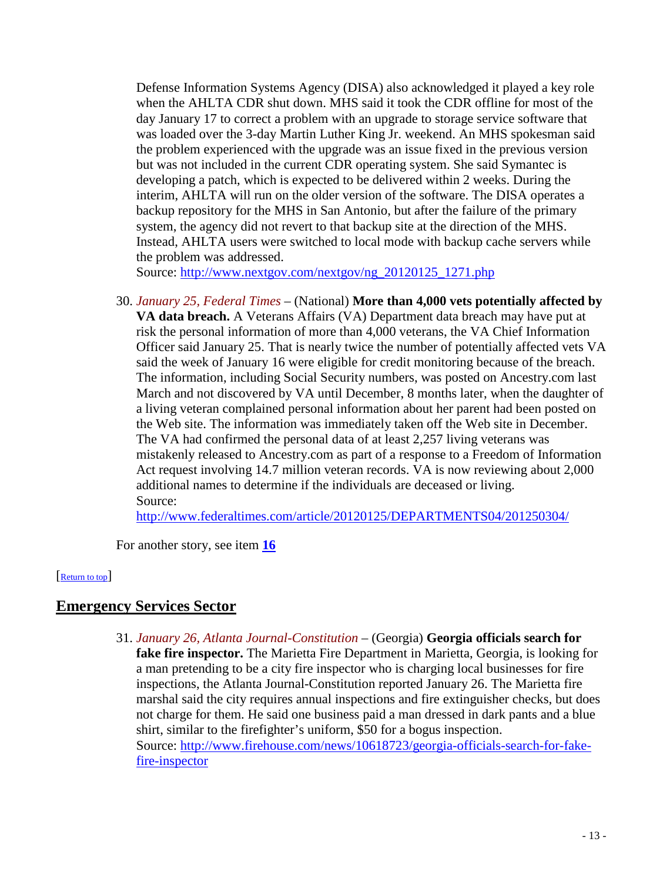Defense Information Systems Agency (DISA) also acknowledged it played a key role when the AHLTA CDR shut down. MHS said it took the CDR offline for most of the day January 17 to correct a problem with an upgrade to storage service software that was loaded over the 3-day Martin Luther King Jr. weekend. An MHS spokesman said the problem experienced with the upgrade was an issue fixed in the previous version but was not included in the current CDR operating system. She said Symantec is developing a patch, which is expected to be delivered within 2 weeks. During the interim, AHLTA will run on the older version of the software. The DISA operates a backup repository for the MHS in San Antonio, but after the failure of the primary system, the agency did not revert to that backup site at the direction of the MHS. Instead, AHLTA users were switched to local mode with backup cache servers while the problem was addressed.

Source: [http://www.nextgov.com/nextgov/ng\\_20120125\\_1271.php](http://www.nextgov.com/nextgov/ng_20120125_1271.php)

30. *January 25, Federal Times* – (National) **More than 4,000 vets potentially affected by VA data breach.** A Veterans Affairs (VA) Department data breach may have put at risk the personal information of more than 4,000 veterans, the VA Chief Information Officer said January 25. That is nearly twice the number of potentially affected vets VA said the week of January 16 were eligible for credit monitoring because of the breach. The information, including Social Security numbers, was posted on Ancestry.com last March and not discovered by VA until December, 8 months later, when the daughter of a living veteran complained personal information about her parent had been posted on the Web site. The information was immediately taken off the Web site in December. The VA had confirmed the personal data of at least 2,257 living veterans was mistakenly released to Ancestry.com as part of a response to a Freedom of Information Act request involving 14.7 million veteran records. VA is now reviewing about 2,000 additional names to determine if the individuals are deceased or living. Source:

<http://www.federaltimes.com/article/20120125/DEPARTMENTS04/201250304/>

<span id="page-12-0"></span>For another story, see item **[16](#page-7-1)**

#### [\[Return to top\]](#page-0-1)

# **Emergency Services Sector**

31. *January 26, Atlanta Journal-Constitution* – (Georgia) **Georgia officials search for fake fire inspector.** The Marietta Fire Department in Marietta, Georgia, is looking for a man pretending to be a city fire inspector who is charging local businesses for fire inspections, the Atlanta Journal-Constitution reported January 26. The Marietta fire marshal said the city requires annual inspections and fire extinguisher checks, but does not charge for them. He said one business paid a man dressed in dark pants and a blue shirt, similar to the firefighter's uniform, \$50 for a bogus inspection. Source: [http://www.firehouse.com/news/10618723/georgia-officials-search-for-fake](http://www.firehouse.com/news/10618723/georgia-officials-search-for-fake-fire-inspector)[fire-inspector](http://www.firehouse.com/news/10618723/georgia-officials-search-for-fake-fire-inspector)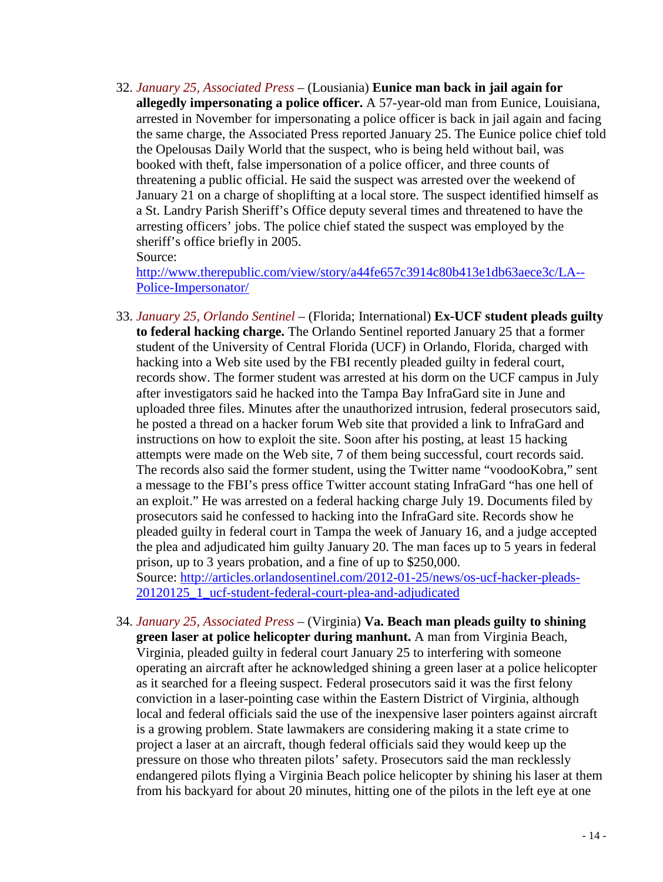32. *January 25, Associated Press* – (Lousiania) **Eunice man back in jail again for allegedly impersonating a police officer.** A 57-year-old man from Eunice, Louisiana, arrested in November for impersonating a police officer is back in jail again and facing the same charge, the Associated Press reported January 25. The Eunice police chief told the Opelousas Daily World that the suspect, who is being held without bail, was booked with theft, false impersonation of a police officer, and three counts of threatening a public official. He said the suspect was arrested over the weekend of January 21 on a charge of shoplifting at a local store. The suspect identified himself as a St. Landry Parish Sheriff's Office deputy several times and threatened to have the arresting officers' jobs. The police chief stated the suspect was employed by the sheriff's office briefly in 2005.

Source:

[http://www.therepublic.com/view/story/a44fe657c3914c80b413e1db63aece3c/LA--](http://www.therepublic.com/view/story/a44fe657c3914c80b413e1db63aece3c/LA--Police-Impersonator/) [Police-Impersonator/](http://www.therepublic.com/view/story/a44fe657c3914c80b413e1db63aece3c/LA--Police-Impersonator/)

<span id="page-13-1"></span>33. *January 25, Orlando Sentinel* – (Florida; International) **Ex-UCF student pleads guilty to federal hacking charge.** The Orlando Sentinel reported January 25 that a former student of the University of Central Florida (UCF) in Orlando, Florida, charged with hacking into a Web site used by the FBI recently pleaded guilty in federal court, records show. The former student was arrested at his dorm on the UCF campus in July after investigators said he hacked into the Tampa Bay InfraGard site in June and uploaded three files. Minutes after the unauthorized intrusion, federal prosecutors said, he posted a thread on a hacker forum Web site that provided a link to InfraGard and instructions on how to exploit the site. Soon after his posting, at least 15 hacking attempts were made on the Web site, 7 of them being successful, court records said. The records also said the former student, using the Twitter name "voodooKobra," sent a message to the FBI's press office Twitter account stating InfraGard "has one hell of an exploit." He was arrested on a federal hacking charge July 19. Documents filed by prosecutors said he confessed to hacking into the InfraGard site. Records show he pleaded guilty in federal court in Tampa the week of January 16, and a judge accepted the plea and adjudicated him guilty January 20. The man faces up to 5 years in federal prison, up to 3 years probation, and a fine of up to \$250,000. Source: [http://articles.orlandosentinel.com/2012-01-25/news/os-ucf-hacker-pleads-](http://articles.orlandosentinel.com/2012-01-25/news/os-ucf-hacker-pleads-20120125_1_ucf-student-federal-court-plea-and-adjudicated)

[20120125\\_1\\_ucf-student-federal-court-plea-and-adjudicated](http://articles.orlandosentinel.com/2012-01-25/news/os-ucf-hacker-pleads-20120125_1_ucf-student-federal-court-plea-and-adjudicated)

<span id="page-13-0"></span>34. *January 25, Associated Press* – (Virginia) **Va. Beach man pleads guilty to shining green laser at police helicopter during manhunt.** A man from Virginia Beach, Virginia, pleaded guilty in federal court January 25 to interfering with someone operating an aircraft after he acknowledged shining a green laser at a police helicopter as it searched for a fleeing suspect. Federal prosecutors said it was the first felony conviction in a laser-pointing case within the Eastern District of Virginia, although local and federal officials said the use of the inexpensive laser pointers against aircraft is a growing problem. State lawmakers are considering making it a state crime to project a laser at an aircraft, though federal officials said they would keep up the pressure on those who threaten pilots' safety. Prosecutors said the man recklessly endangered pilots flying a Virginia Beach police helicopter by shining his laser at them from his backyard for about 20 minutes, hitting one of the pilots in the left eye at one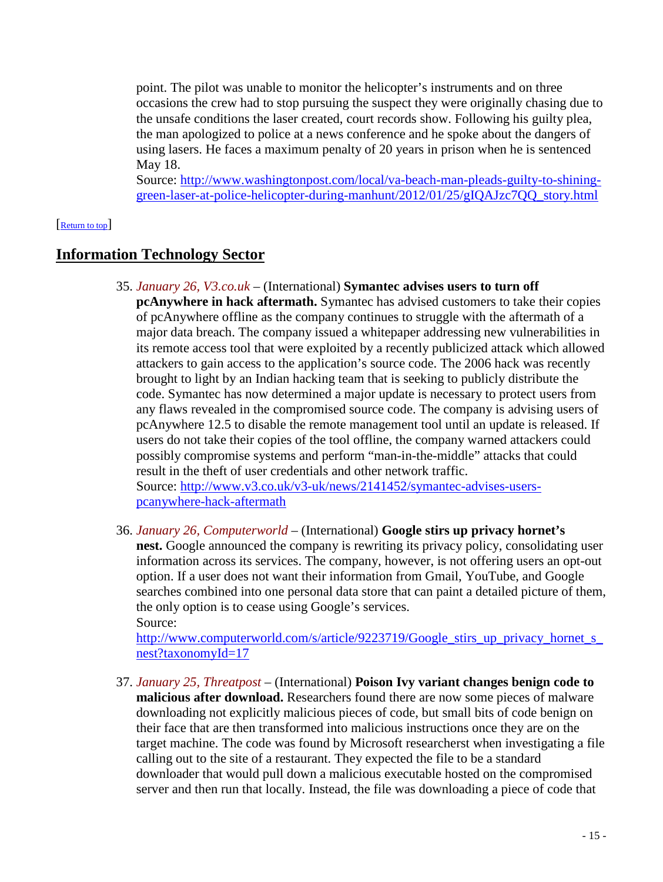point. The pilot was unable to monitor the helicopter's instruments and on three occasions the crew had to stop pursuing the suspect they were originally chasing due to the unsafe conditions the laser created, court records show. Following his guilty plea, the man apologized to police at a news conference and he spoke about the dangers of using lasers. He faces a maximum penalty of 20 years in prison when he is sentenced May 18.

<span id="page-14-0"></span>Source: [http://www.washingtonpost.com/local/va-beach-man-pleads-guilty-to-shining](http://www.washingtonpost.com/local/va-beach-man-pleads-guilty-to-shining-green-laser-at-police-helicopter-during-manhunt/2012/01/25/gIQAJzc7QQ_story.html)[green-laser-at-police-helicopter-during-manhunt/2012/01/25/gIQAJzc7QQ\\_story.html](http://www.washingtonpost.com/local/va-beach-man-pleads-guilty-to-shining-green-laser-at-police-helicopter-during-manhunt/2012/01/25/gIQAJzc7QQ_story.html)

#### [\[Return to top\]](#page-0-1)

# **Information Technology Sector**

35. *January 26, V3.co.uk* – (International) **Symantec advises users to turn off pcAnywhere in hack aftermath.** Symantec has advised customers to take their copies of pcAnywhere offline as the company continues to struggle with the aftermath of a major data breach. The company issued a whitepaper addressing new vulnerabilities in its remote access tool that were exploited by a recently publicized attack which allowed attackers to gain access to the application's source code. The 2006 hack was recently brought to light by an Indian hacking team that is seeking to publicly distribute the code. Symantec has now determined a major update is necessary to protect users from any flaws revealed in the compromised source code. The company is advising users of pcAnywhere 12.5 to disable the remote management tool until an update is released. If users do not take their copies of the tool offline, the company warned attackers could possibly compromise systems and perform "man-in-the-middle" attacks that could result in the theft of user credentials and other network traffic.

Source: [http://www.v3.co.uk/v3-uk/news/2141452/symantec-advises-users](http://www.v3.co.uk/v3-uk/news/2141452/symantec-advises-users-pcanywhere-hack-aftermath)[pcanywhere-hack-aftermath](http://www.v3.co.uk/v3-uk/news/2141452/symantec-advises-users-pcanywhere-hack-aftermath)

<span id="page-14-1"></span>36. *January 26, Computerworld* – (International) **Google stirs up privacy hornet's nest.** Google announced the company is rewriting its privacy policy, consolidating user information across its services. The company, however, is not offering users an opt-out option. If a user does not want their information from Gmail, YouTube, and Google searches combined into one personal data store that can paint a detailed picture of them, the only option is to cease using Google's services. Source:

http://www.computerworld.com/s/article/9223719/Google stirs up privacy hornet s [nest?taxonomyId=17](http://www.computerworld.com/s/article/9223719/Google_stirs_up_privacy_hornet_s_nest?taxonomyId=17)

37. *January 25, Threatpost* – (International) **Poison Ivy variant changes benign code to malicious after download.** Researchers found there are now some pieces of malware downloading not explicitly malicious pieces of code, but small bits of code benign on their face that are then transformed into malicious instructions once they are on the target machine. The code was found by Microsoft researcherst when investigating a file calling out to the site of a restaurant. They expected the file to be a standard downloader that would pull down a malicious executable hosted on the compromised server and then run that locally. Instead, the file was downloading a piece of code that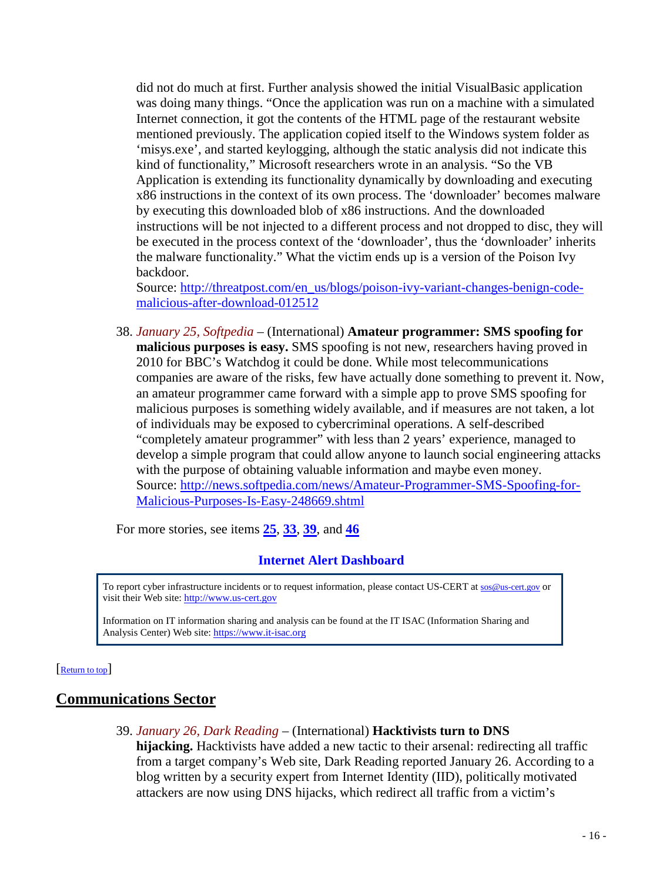did not do much at first. Further analysis showed the initial VisualBasic application was doing many things. "Once the application was run on a machine with a simulated Internet connection, it got the contents of the HTML page of the restaurant website mentioned previously. The application copied itself to the Windows system folder as 'misys.exe', and started keylogging, although the static analysis did not indicate this kind of functionality," Microsoft researchers wrote in an analysis. "So the VB Application is extending its functionality dynamically by downloading and executing x86 instructions in the context of its own process. The 'downloader' becomes malware by executing this downloaded blob of x86 instructions. And the downloaded instructions will be not injected to a different process and not dropped to disc, they will be executed in the process context of the 'downloader', thus the 'downloader' inherits the malware functionality." What the victim ends up is a version of the Poison Ivy backdoor.

Source: [http://threatpost.com/en\\_us/blogs/poison-ivy-variant-changes-benign-code](http://threatpost.com/en_us/blogs/poison-ivy-variant-changes-benign-code-malicious-after-download-012512)[malicious-after-download-012512](http://threatpost.com/en_us/blogs/poison-ivy-variant-changes-benign-code-malicious-after-download-012512)

<span id="page-15-2"></span>38. *January 25, Softpedia* – (International) **Amateur programmer: SMS spoofing for malicious purposes is easy.** SMS spoofing is not new, researchers having proved in 2010 for BBC's Watchdog it could be done. While most telecommunications companies are aware of the risks, few have actually done something to prevent it. Now, an amateur programmer came forward with a simple app to prove SMS spoofing for malicious purposes is something widely available, and if measures are not taken, a lot of individuals may be exposed to cybercriminal operations. A self-described "completely amateur programmer" with less than 2 years' experience, managed to develop a simple program that could allow anyone to launch social engineering attacks with the purpose of obtaining valuable information and maybe even money. Source: [http://news.softpedia.com/news/Amateur-Programmer-SMS-Spoofing-for-](http://news.softpedia.com/news/Amateur-Programmer-SMS-Spoofing-for-Malicious-Purposes-Is-Easy-248669.shtml)[Malicious-Purposes-Is-Easy-248669.shtml](http://news.softpedia.com/news/Amateur-Programmer-SMS-Spoofing-for-Malicious-Purposes-Is-Easy-248669.shtml)

For more stories, see items **[25](#page-10-2)**, **[33](#page-13-1)**, **[39](#page-15-1)**, and **[46](#page-18-2)**

### **Internet Alert Dashboard**

To report cyber infrastructure incidents or to request information, please contact US-CERT at [sos@us-cert.gov](mailto:sos@us-cert.gov) or visit their Web site[: http://www.us-cert.gov](http://www.us-cert.gov/)

<span id="page-15-0"></span>Information on IT information sharing and analysis can be found at the IT ISAC (Information Sharing and Analysis Center) Web site: [https://www.it-isac.org](https://www.it-isac.org/) 

#### [\[Return to top\]](#page-0-1)

# <span id="page-15-1"></span>**Communications Sector**

- 39. *January 26, Dark Reading* (International) **Hacktivists turn to DNS** 
	- **hijacking.** Hacktivists have added a new tactic to their arsenal: redirecting all traffic from a target company's Web site, Dark Reading reported January 26. According to a blog written by a security expert from Internet Identity (IID), politically motivated attackers are now using DNS hijacks, which redirect all traffic from a victim's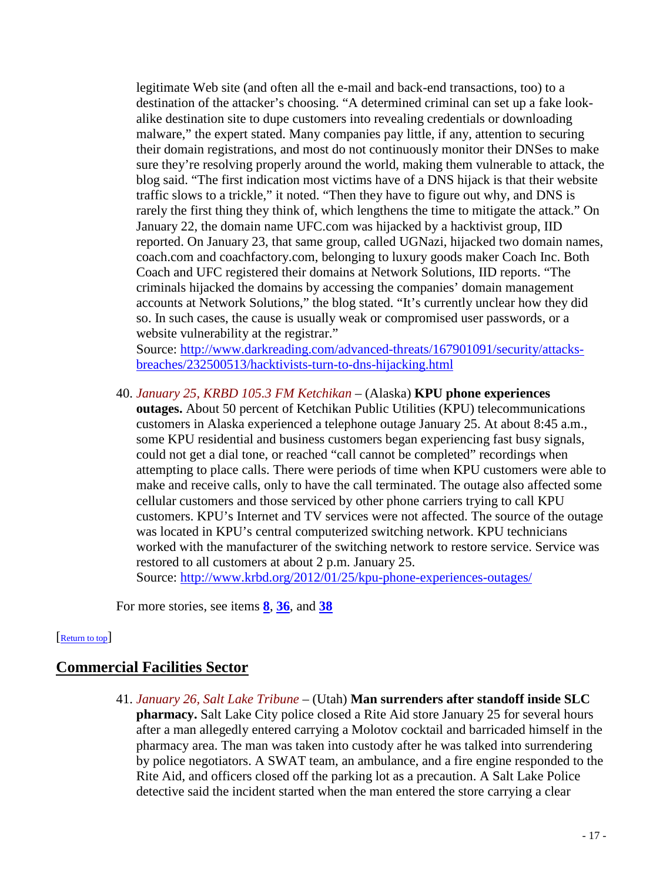legitimate Web site (and often all the e-mail and back-end transactions, too) to a destination of the attacker's choosing. "A determined criminal can set up a fake lookalike destination site to dupe customers into revealing credentials or downloading malware," the expert stated. Many companies pay little, if any, attention to securing their domain registrations, and most do not continuously monitor their DNSes to make sure they're resolving properly around the world, making them vulnerable to attack, the blog said. "The first indication most victims have of a DNS hijack is that their website traffic slows to a trickle," it noted. "Then they have to figure out why, and DNS is rarely the first thing they think of, which lengthens the time to mitigate the attack." On January 22, the domain name UFC.com was hijacked by a hacktivist group, IID reported. On January 23, that same group, called UGNazi, hijacked two domain names, coach.com and coachfactory.com, belonging to luxury goods maker Coach Inc. Both Coach and UFC registered their domains at Network Solutions, IID reports. "The criminals hijacked the domains by accessing the companies' domain management accounts at Network Solutions," the blog stated. "It's currently unclear how they did so. In such cases, the cause is usually weak or compromised user passwords, or a website vulnerability at the registrar."

Source: [http://www.darkreading.com/advanced-threats/167901091/security/attacks](http://www.darkreading.com/advanced-threats/167901091/security/attacks-breaches/232500513/hacktivists-turn-to-dns-hijacking.html)[breaches/232500513/hacktivists-turn-to-dns-hijacking.html](http://www.darkreading.com/advanced-threats/167901091/security/attacks-breaches/232500513/hacktivists-turn-to-dns-hijacking.html)

40. *January 25, KRBD 105.3 FM Ketchikan* – (Alaska) **KPU phone experiences outages.** About 50 percent of Ketchikan Public Utilities (KPU) telecommunications customers in Alaska experienced a telephone outage January 25. At about 8:45 a.m., some KPU residential and business customers began experiencing fast busy signals, could not get a dial tone, or reached "call cannot be completed" recordings when attempting to place calls. There were periods of time when KPU customers were able to make and receive calls, only to have the call terminated. The outage also affected some cellular customers and those serviced by other phone carriers trying to call KPU customers. KPU's Internet and TV services were not affected. The source of the outage was located in KPU's central computerized switching network. KPU technicians worked with the manufacturer of the switching network to restore service. Service was restored to all customers at about 2 p.m. January 25.

Source:<http://www.krbd.org/2012/01/25/kpu-phone-experiences-outages/>

<span id="page-16-0"></span>For more stories, see items **[8](#page-4-3)**, **[36](#page-14-1)**, and **[38](#page-15-2)**

#### [\[Return to top\]](#page-0-1)

### <span id="page-16-1"></span>**Commercial Facilities Sector**

41. *January 26, Salt Lake Tribune* – (Utah) **Man surrenders after standoff inside SLC pharmacy.** Salt Lake City police closed a Rite Aid store January 25 for several hours after a man allegedly entered carrying a Molotov cocktail and barricaded himself in the pharmacy area. The man was taken into custody after he was talked into surrendering by police negotiators. A SWAT team, an ambulance, and a fire engine responded to the Rite Aid, and officers closed off the parking lot as a precaution. A Salt Lake Police detective said the incident started when the man entered the store carrying a clear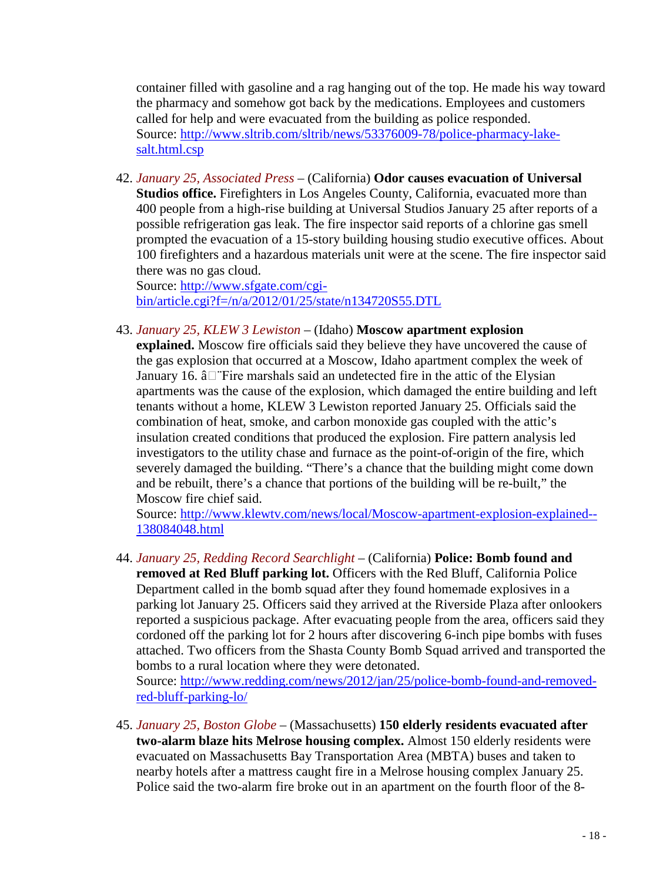container filled with gasoline and a rag hanging out of the top. He made his way toward the pharmacy and somehow got back by the medications. Employees and customers called for help and were evacuated from the building as police responded. Source: [http://www.sltrib.com/sltrib/news/53376009-78/police-pharmacy-lake](http://www.sltrib.com/sltrib/news/53376009-78/police-pharmacy-lake-salt.html.csp)[salt.html.csp](http://www.sltrib.com/sltrib/news/53376009-78/police-pharmacy-lake-salt.html.csp)

42. *January 25, Associated Press* – (California) **Odor causes evacuation of Universal Studios office.** Firefighters in Los Angeles County, California, evacuated more than 400 people from a high-rise building at Universal Studios January 25 after reports of a possible refrigeration gas leak. The fire inspector said reports of a chlorine gas smell prompted the evacuation of a 15-story building housing studio executive offices. About 100 firefighters and a hazardous materials unit were at the scene. The fire inspector said there was no gas cloud.

Source: [http://www.sfgate.com/cgi](http://www.sfgate.com/cgi-bin/article.cgi?f=/n/a/2012/01/25/state/n134720S55.DTL)[bin/article.cgi?f=/n/a/2012/01/25/state/n134720S55.DTL](http://www.sfgate.com/cgi-bin/article.cgi?f=/n/a/2012/01/25/state/n134720S55.DTL)

43. *January 25, KLEW 3 Lewiston* – (Idaho) **Moscow apartment explosion** 

**explained.** Moscow fire officials said they believe they have uncovered the cause of the gas explosion that occurred at a Moscow, Idaho apartment complex the week of January 16.  $\hat{a}$  Fire marshals said an undetected fire in the attic of the Elysian apartments was the cause of the explosion, which damaged the entire building and left tenants without a home, KLEW 3 Lewiston reported January 25. Officials said the combination of heat, smoke, and carbon monoxide gas coupled with the attic's insulation created conditions that produced the explosion. Fire pattern analysis led investigators to the utility chase and furnace as the point-of-origin of the fire, which severely damaged the building. "There's a chance that the building might come down and be rebuilt, there's a chance that portions of the building will be re-built," the Moscow fire chief said.

Source: [http://www.klewtv.com/news/local/Moscow-apartment-explosion-explained--](http://www.klewtv.com/news/local/Moscow-apartment-explosion-explained--138084048.html) [138084048.html](http://www.klewtv.com/news/local/Moscow-apartment-explosion-explained--138084048.html)

44. *January 25, Redding Record Searchlight* – (California) **Police: Bomb found and removed at Red Bluff parking lot.** Officers with the Red Bluff, California Police Department called in the bomb squad after they found homemade explosives in a parking lot January 25. Officers said they arrived at the Riverside Plaza after onlookers reported a suspicious package. After evacuating people from the area, officers said they cordoned off the parking lot for 2 hours after discovering 6-inch pipe bombs with fuses attached. Two officers from the Shasta County Bomb Squad arrived and transported the bombs to a rural location where they were detonated.

Source: [http://www.redding.com/news/2012/jan/25/police-bomb-found-and-removed](http://www.redding.com/news/2012/jan/25/police-bomb-found-and-removed-red-bluff-parking-lo/)[red-bluff-parking-lo/](http://www.redding.com/news/2012/jan/25/police-bomb-found-and-removed-red-bluff-parking-lo/)

45. *January 25, Boston Globe* – (Massachusetts) **150 elderly residents evacuated after two-alarm blaze hits Melrose housing complex.** Almost 150 elderly residents were evacuated on Massachusetts Bay Transportation Area (MBTA) buses and taken to nearby hotels after a mattress caught fire in a Melrose housing complex January 25. Police said the two-alarm fire broke out in an apartment on the fourth floor of the 8-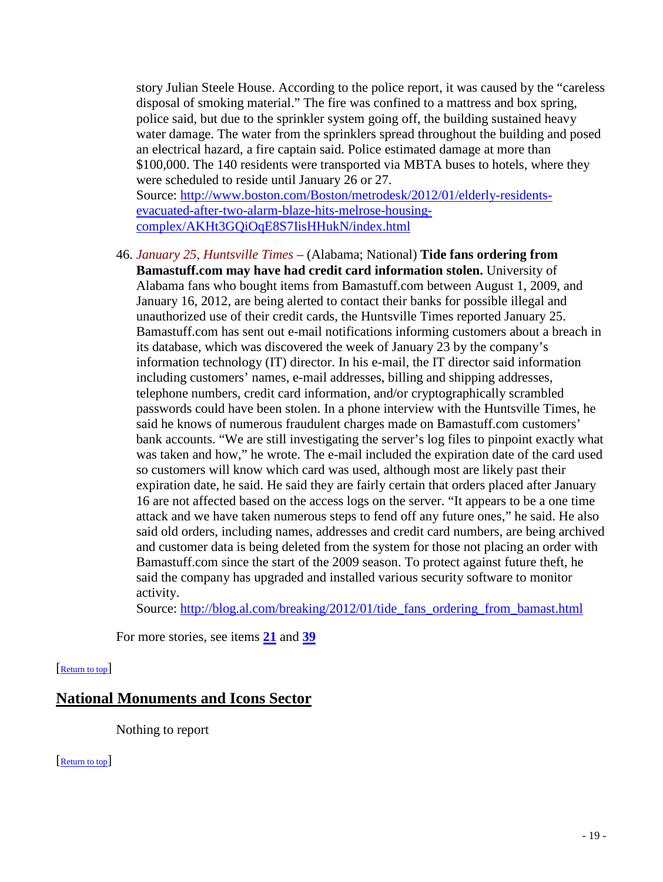story Julian Steele House. According to the police report, it was caused by the "careless disposal of smoking material." The fire was confined to a mattress and box spring, police said, but due to the sprinkler system going off, the building sustained heavy water damage. The water from the sprinklers spread throughout the building and posed an electrical hazard, a fire captain said. Police estimated damage at more than \$100,000. The 140 residents were transported via MBTA buses to hotels, where they were scheduled to reside until January 26 or 27. Source: [http://www.boston.com/Boston/metrodesk/2012/01/elderly-residents](http://www.boston.com/Boston/metrodesk/2012/01/elderly-residents-evacuated-after-two-alarm-blaze-hits-melrose-housing-complex/AKHt3GQiOqE8S7IisHHukN/index.html)[evacuated-after-two-alarm-blaze-hits-melrose-housing-](http://www.boston.com/Boston/metrodesk/2012/01/elderly-residents-evacuated-after-two-alarm-blaze-hits-melrose-housing-complex/AKHt3GQiOqE8S7IisHHukN/index.html)

[complex/AKHt3GQiOqE8S7IisHHukN/index.html](http://www.boston.com/Boston/metrodesk/2012/01/elderly-residents-evacuated-after-two-alarm-blaze-hits-melrose-housing-complex/AKHt3GQiOqE8S7IisHHukN/index.html)

<span id="page-18-2"></span>46. *January 25, Huntsville Times* – (Alabama; National) **Tide fans ordering from Bamastuff.com may have had credit card information stolen.** University of Alabama fans who bought items from Bamastuff.com between August 1, 2009, and January 16, 2012, are being alerted to contact their banks for possible illegal and unauthorized use of their credit cards, the Huntsville Times reported January 25. Bamastuff.com has sent out e-mail notifications informing customers about a breach in its database, which was discovered the week of January 23 by the company's information technology (IT) director. In his e-mail, the IT director said information including customers' names, e-mail addresses, billing and shipping addresses, telephone numbers, credit card information, and/or cryptographically scrambled passwords could have been stolen. In a phone interview with the Huntsville Times, he said he knows of numerous fraudulent charges made on Bamastuff.com customers' bank accounts. "We are still investigating the server's log files to pinpoint exactly what was taken and how," he wrote. The e-mail included the expiration date of the card used so customers will know which card was used, although most are likely past their expiration date, he said. He said they are fairly certain that orders placed after January 16 are not affected based on the access logs on the server. "It appears to be a one time attack and we have taken numerous steps to fend off any future ones," he said. He also said old orders, including names, addresses and credit card numbers, are being archived and customer data is being deleted from the system for those not placing an order with Bamastuff.com since the start of the 2009 season. To protect against future theft, he said the company has upgraded and installed various security software to monitor activity.

Source: [http://blog.al.com/breaking/2012/01/tide\\_fans\\_ordering\\_from\\_bamast.html](http://blog.al.com/breaking/2012/01/tide_fans_ordering_from_bamast.html)

<span id="page-18-1"></span>For more stories, see items **[21](#page-9-1)** and **[39](#page-15-1)**

#### [\[Return to top\]](#page-0-1)

# **National Monuments and Icons Sector**

<span id="page-18-0"></span>Nothing to report

[\[Return to top\]](#page-0-1)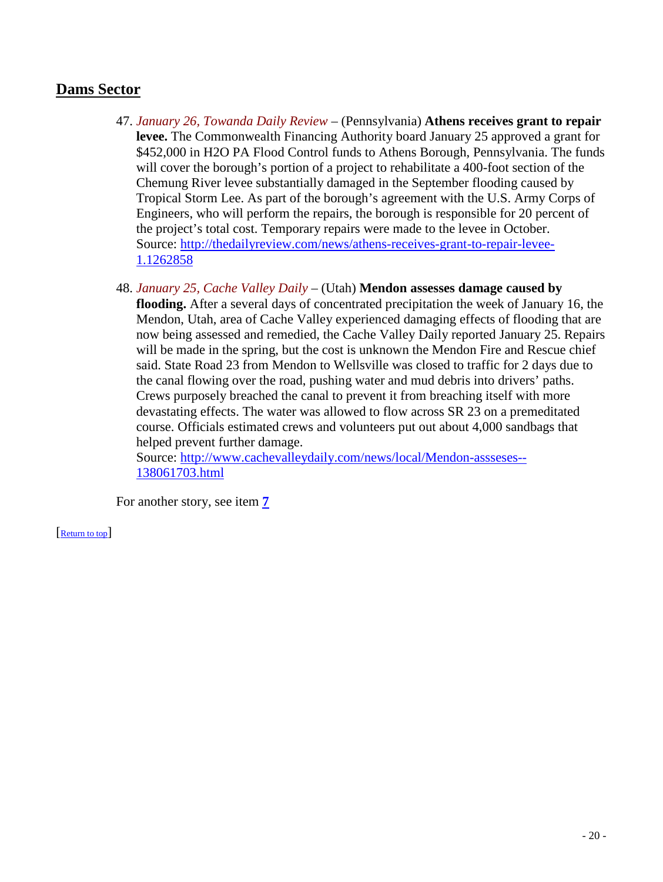# **Dams Sector**

- 47. *January 26, Towanda Daily Review* (Pennsylvania) **Athens receives grant to repair levee.** The Commonwealth Financing Authority board January 25 approved a grant for \$452,000 in H2O PA Flood Control funds to Athens Borough, Pennsylvania. The funds will cover the borough's portion of a project to rehabilitate a 400-foot section of the Chemung River levee substantially damaged in the September flooding caused by Tropical Storm Lee. As part of the borough's agreement with the U.S. Army Corps of Engineers, who will perform the repairs, the borough is responsible for 20 percent of the project's total cost. Temporary repairs were made to the levee in October. Source: [http://thedailyreview.com/news/athens-receives-grant-to-repair-levee-](http://thedailyreview.com/news/athens-receives-grant-to-repair-levee-1.1262858)[1.1262858](http://thedailyreview.com/news/athens-receives-grant-to-repair-levee-1.1262858)
- <span id="page-19-0"></span>48. *January 25, Cache Valley Daily* – (Utah) **Mendon assesses damage caused by flooding.** After a several days of concentrated precipitation the week of January 16, the Mendon, Utah, area of Cache Valley experienced damaging effects of flooding that are now being assessed and remedied, the Cache Valley Daily reported January 25. Repairs will be made in the spring, but the cost is unknown the Mendon Fire and Rescue chief said. State Road 23 from Mendon to Wellsville was closed to traffic for 2 days due to the canal flowing over the road, pushing water and mud debris into drivers' paths. Crews purposely breached the canal to prevent it from breaching itself with more devastating effects. The water was allowed to flow across SR 23 on a premeditated course. Officials estimated crews and volunteers put out about 4,000 sandbags that helped prevent further damage.

Source: [http://www.cachevalleydaily.com/news/local/Mendon-assseses--](http://www.cachevalleydaily.com/news/local/Mendon-assseses--138061703.html) [138061703.html](http://www.cachevalleydaily.com/news/local/Mendon-assseses--138061703.html)

For another story, see item **[7](#page-3-2)**

[\[Return to top\]](#page-0-1)